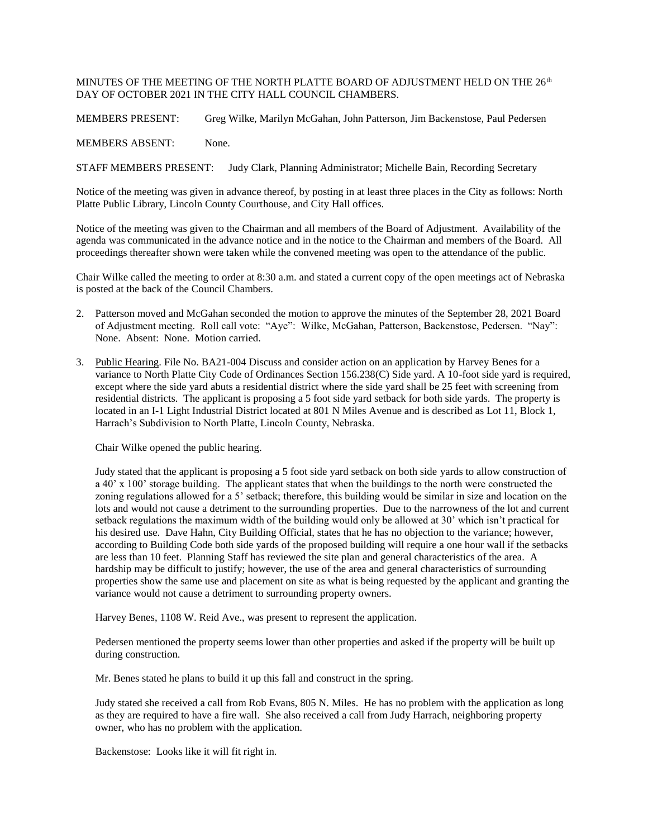## MINUTES OF THE MEETING OF THE NORTH PLATTE BOARD OF ADJUSTMENT HELD ON THE  $26^{\rm th}$ DAY OF OCTOBER 2021 IN THE CITY HALL COUNCIL CHAMBERS.

MEMBERS PRESENT: Greg Wilke, Marilyn McGahan, John Patterson, Jim Backenstose, Paul Pedersen

MEMBERS ABSENT: None.

STAFF MEMBERS PRESENT: Judy Clark, Planning Administrator; Michelle Bain, Recording Secretary

Notice of the meeting was given in advance thereof, by posting in at least three places in the City as follows: North Platte Public Library, Lincoln County Courthouse, and City Hall offices.

Notice of the meeting was given to the Chairman and all members of the Board of Adjustment. Availability of the agenda was communicated in the advance notice and in the notice to the Chairman and members of the Board. All proceedings thereafter shown were taken while the convened meeting was open to the attendance of the public.

Chair Wilke called the meeting to order at 8:30 a.m. and stated a current copy of the open meetings act of Nebraska is posted at the back of the Council Chambers.

- 2. Patterson moved and McGahan seconded the motion to approve the minutes of the September 28, 2021 Board of Adjustment meeting. Roll call vote: "Aye": Wilke, McGahan, Patterson, Backenstose, Pedersen. "Nay": None. Absent: None. Motion carried.
- 3. Public Hearing. File No. BA21-004 Discuss and consider action on an application by Harvey Benes for a variance to North Platte City Code of Ordinances Section 156.238(C) Side yard. A 10-foot side yard is required, except where the side yard abuts a residential district where the side yard shall be 25 feet with screening from residential districts. The applicant is proposing a 5 foot side yard setback for both side yards. The property is located in an I-1 Light Industrial District located at 801 N Miles Avenue and is described as Lot 11, Block 1, Harrach's Subdivision to North Platte, Lincoln County, Nebraska.

Chair Wilke opened the public hearing.

Judy stated that the applicant is proposing a 5 foot side yard setback on both side yards to allow construction of a 40' x 100' storage building. The applicant states that when the buildings to the north were constructed the zoning regulations allowed for a 5' setback; therefore, this building would be similar in size and location on the lots and would not cause a detriment to the surrounding properties. Due to the narrowness of the lot and current setback regulations the maximum width of the building would only be allowed at 30' which isn't practical for his desired use. Dave Hahn, City Building Official, states that he has no objection to the variance; however, according to Building Code both side yards of the proposed building will require a one hour wall if the setbacks are less than 10 feet. Planning Staff has reviewed the site plan and general characteristics of the area. A hardship may be difficult to justify; however, the use of the area and general characteristics of surrounding properties show the same use and placement on site as what is being requested by the applicant and granting the variance would not cause a detriment to surrounding property owners.

Harvey Benes, 1108 W. Reid Ave., was present to represent the application.

Pedersen mentioned the property seems lower than other properties and asked if the property will be built up during construction.

Mr. Benes stated he plans to build it up this fall and construct in the spring.

Judy stated she received a call from Rob Evans, 805 N. Miles. He has no problem with the application as long as they are required to have a fire wall. She also received a call from Judy Harrach, neighboring property owner, who has no problem with the application.

Backenstose: Looks like it will fit right in.